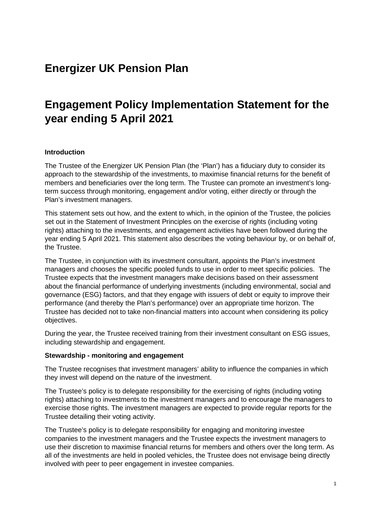## **Energizer UK Pension Plan**

# **Engagement Policy Implementation Statement for the year ending 5 April 2021**

#### **Introduction**

The Trustee of the Energizer UK Pension Plan (the 'Plan') has a fiduciary duty to consider its approach to the stewardship of the investments, to maximise financial returns for the benefit of members and beneficiaries over the long term. The Trustee can promote an investment's longterm success through monitoring, engagement and/or voting, either directly or through the Plan's investment managers.

This statement sets out how, and the extent to which, in the opinion of the Trustee, the policies set out in the Statement of Investment Principles on the exercise of rights (including voting rights) attaching to the investments, and engagement activities have been followed during the year ending 5 April 2021. This statement also describes the voting behaviour by, or on behalf of, the Trustee.

The Trustee, in conjunction with its investment consultant, appoints the Plan's investment managers and chooses the specific pooled funds to use in order to meet specific policies. The Trustee expects that the investment managers make decisions based on their assessment about the financial performance of underlying investments (including environmental, social and governance (ESG) factors, and that they engage with issuers of debt or equity to improve their performance (and thereby the Plan's performance) over an appropriate time horizon. The Trustee has decided not to take non-financial matters into account when considering its policy objectives.

During the year, the Trustee received training from their investment consultant on ESG issues, including stewardship and engagement.

#### **Stewardship - monitoring and engagement**

The Trustee recognises that investment managers' ability to influence the companies in which they invest will depend on the nature of the investment.

The Trustee's policy is to delegate responsibility for the exercising of rights (including voting rights) attaching to investments to the investment managers and to encourage the managers to exercise those rights. The investment managers are expected to provide regular reports for the Trustee detailing their voting activity.

The Trustee's policy is to delegate responsibility for engaging and monitoring investee companies to the investment managers and the Trustee expects the investment managers to use their discretion to maximise financial returns for members and others over the long term. As all of the investments are held in pooled vehicles, the Trustee does not envisage being directly involved with peer to peer engagement in investee companies.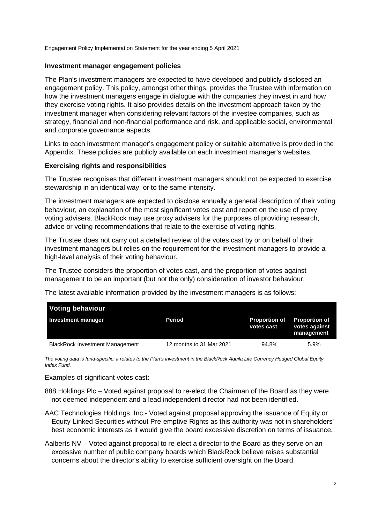Engagement Policy Implementation Statement for the year ending 5 April 2021

#### **Investment manager engagement policies**

The Plan's investment managers are expected to have developed and publicly disclosed an engagement policy. This policy, amongst other things, provides the Trustee with information on how the investment managers engage in dialogue with the companies they invest in and how they exercise voting rights. It also provides details on the investment approach taken by the investment manager when considering relevant factors of the investee companies, such as strategy, financial and non-financial performance and risk, and applicable social, environmental and corporate governance aspects.

Links to each investment manager's engagement policy or suitable alternative is provided in the Appendix. These policies are publicly available on each investment manager's websites.

#### **Exercising rights and responsibilities**

The Trustee recognises that different investment managers should not be expected to exercise stewardship in an identical way, or to the same intensity.

The investment managers are expected to disclose annually a general description of their voting behaviour, an explanation of the most significant votes cast and report on the use of proxy voting advisers. BlackRock may use proxy advisers for the purposes of providing research, advice or voting recommendations that relate to the exercise of voting rights.

The Trustee does not carry out a detailed review of the votes cast by or on behalf of their investment managers but relies on the requirement for the investment managers to provide a high-level analysis of their voting behaviour.

The Trustee considers the proportion of votes cast, and the proportion of votes against management to be an important (but not the only) consideration of investor behaviour.

The latest available information provided by the investment managers is as follows:

| <b>Voting behaviour</b>                |                          |                                    |                                                     |
|----------------------------------------|--------------------------|------------------------------------|-----------------------------------------------------|
| <b>Investment manager</b>              | Period                   | <b>Proportion of</b><br>votes cast | <b>Proportion of</b><br>votes against<br>management |
| <b>BlackRock Investment Management</b> | 12 months to 31 Mar 2021 | 94.8%                              | 5.9%                                                |

*The voting data is fund-specific; it relates to the Plan's investment in the BlackRock Aquila Life Currency Hedged Global Equity Index Fund.*

Examples of significant votes cast:

888 Holdings Plc – Voted against proposal to re-elect the Chairman of the Board as they were not deemed independent and a lead independent director had not been identified.

- AAC Technologies Holdings, Inc.- Voted against proposal approving the issuance of Equity or Equity-Linked Securities without Pre-emptive Rights as this authority was not in shareholders' best economic interests as it would give the board excessive discretion on terms of issuance.
- Aalberts NV Voted against proposal to re-elect a director to the Board as they serve on an excessive number of public company boards which BlackRock believe raises substantial concerns about the director's ability to exercise sufficient oversight on the Board.